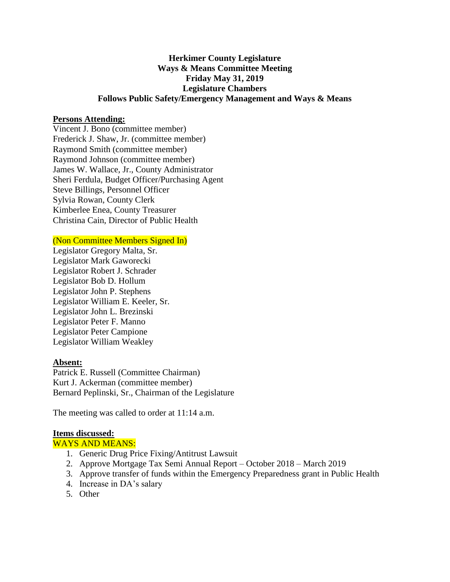## **Herkimer County Legislature Ways & Means Committee Meeting Friday May 31, 2019 Legislature Chambers Follows Public Safety/Emergency Management and Ways & Means**

### **Persons Attending:**

Vincent J. Bono (committee member) Frederick J. Shaw, Jr. (committee member) Raymond Smith (committee member) Raymond Johnson (committee member) James W. Wallace, Jr., County Administrator Sheri Ferdula, Budget Officer/Purchasing Agent Steve Billings, Personnel Officer Sylvia Rowan, County Clerk Kimberlee Enea, County Treasurer Christina Cain, Director of Public Health

#### (Non Committee Members Signed In)

Legislator Gregory Malta, Sr. Legislator Mark Gaworecki Legislator Robert J. Schrader Legislator Bob D. Hollum Legislator John P. Stephens Legislator William E. Keeler, Sr. Legislator John L. Brezinski Legislator Peter F. Manno Legislator Peter Campione Legislator William Weakley

#### **Absent:**

Patrick E. Russell (Committee Chairman) Kurt J. Ackerman (committee member) Bernard Peplinski, Sr., Chairman of the Legislature

The meeting was called to order at 11:14 a.m.

#### **Items discussed:**

#### WAYS AND MEANS:

- 1. Generic Drug Price Fixing/Antitrust Lawsuit
- 2. Approve Mortgage Tax Semi Annual Report October 2018 March 2019
- 3. Approve transfer of funds within the Emergency Preparedness grant in Public Health
- 4. Increase in DA's salary
- 5. Other